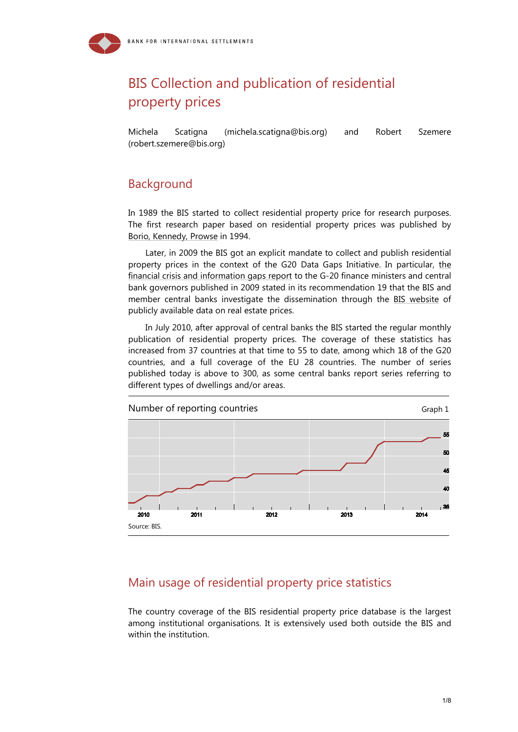# BIS Collection and publication of residential property prices

Michela Scatigna (michel[a.scatigna@bis.org\)](mailto:scatigna@bis.org) and Robert Szemere (robert.szemere@bis.org)

## Background

In 1989 the BIS started to collect residential property price for research purposes. The first research paper based on residential property prices was published by [Borio, Kennedy, Prowse](http://www.bis.org/publ/econ40.htm) in 1994.

Later, in 2009 the BIS got an explicit mandate to collect and publish residential property prices in the context of the G20 Data Gaps Initiative. In particular, [the](http://www.financialstabilityboard.org/publications/r_091029.pdf)  [financial crisis and information gaps report](http://www.financialstabilityboard.org/publications/r_091029.pdf) to the G-20 finance ministers and central bank governors published in 2009 stated in its recommendation 19 that the BIS and member central banks investigate the dissemination through the [BIS website](http://www.bis.org/statistics/pp.htm) of publicly available data on real estate prices.

In July 2010, after approval of central banks the BIS started the regular monthly publication of residential property prices. The coverage of these statistics has increased from 37 countries at that time to 55 to date, among which 18 of the G20 countries, and a full coverage of the EU 28 countries. The number of series published today is above to 300, as some central banks report series referring to different types of dwellings and/or areas.



## Main usage of residential property price statistics

The country coverage of the BIS residential property price database is the largest among institutional organisations. It is extensively used both outside the BIS and within the institution.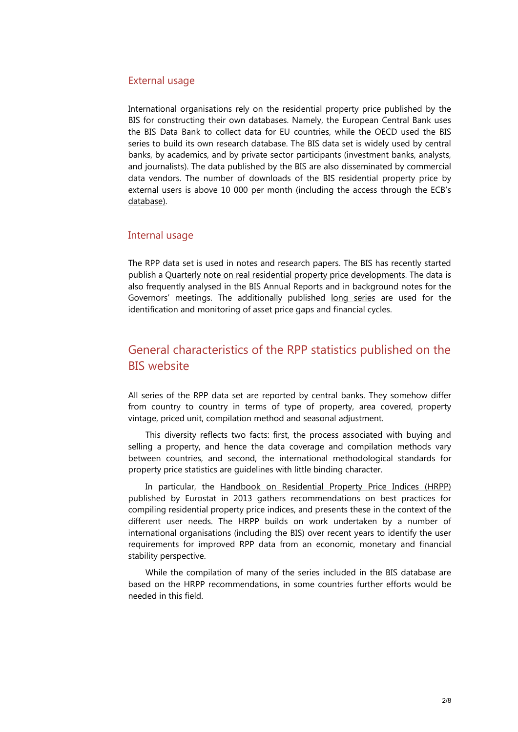#### External usage

International organisations rely on the residential property price published by the BIS for constructing their own databases. Namely, the European Central Bank uses the BIS Data Bank to collect data for EU countries, while the OECD used the BIS series to build its own research database. The BIS data set is widely used by central banks, by academics, and by private sector participants (investment banks, analysts, and journalists). The data published by the BIS are also disseminated by commercial data vendors. The number of downloads of the BIS residential property price by external users is above 10 000 per month (including the access through the [ECB's](http://sdw.ecb.europa.eu/browse.do?node=2120781)  [database\)](http://sdw.ecb.europa.eu/browse.do?node=2120781).

#### Internal usage

The RPP data set is used in notes and research papers. The BIS has recently started publish a [Quarterly note on real residential property price developments.](http://www.bis.org/statistics/pp_residential.pdf) The data is also frequently analysed in the BIS Annual Reports and in background notes for the Governors' meetings. The additionally published [long series](http://www.bis.org/statistics/pp_long.htm) are used for the identification and monitoring of asset price gaps and financial cycles.

## General characteristics of the RPP statistics published on the BIS website

All series of the RPP data set are reported by central banks. They somehow differ from country to country in terms of type of property, area covered, property vintage, priced unit, compilation method and seasonal adjustment.

This diversity reflects two facts: first, the process associated with buying and selling a property, and hence the data coverage and compilation methods vary between countries, and second, the international methodological standards for property price statistics are guidelines with little binding character.

In particular, the [Handbook on Residential Property Price Indices \(HRPP\)](http://epp.eurostat.ec.europa.eu/portal/page/portal/hicp/methodology/hps/rppi_handbook) published by Eurostat in 2013 gathers recommendations on best practices for compiling residential property price indices, and presents these in the context of the different user needs. The HRPP builds on work undertaken by a number of international organisations (including the BIS) over recent years to identify the user requirements for improved RPP data from an economic, monetary and financial stability perspective.

While the compilation of many of the series included in the BIS database are based on the HRPP recommendations, in some countries further efforts would be needed in this field.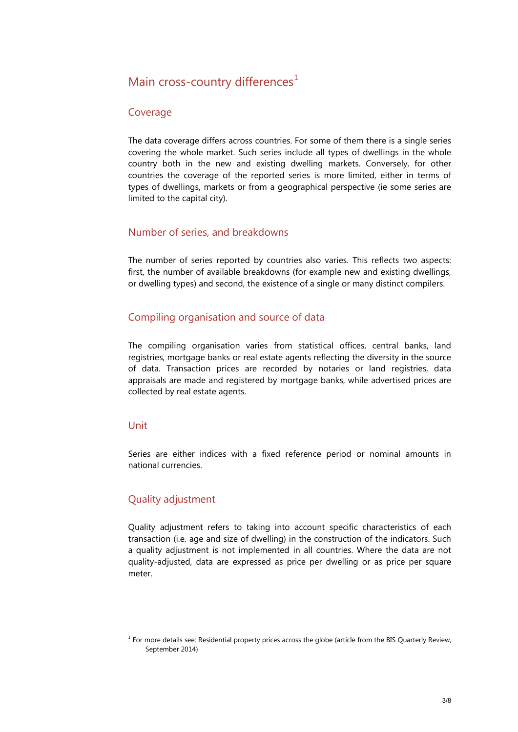### Main cross-country differences $<sup>1</sup>$  $<sup>1</sup>$  $<sup>1</sup>$ </sup>

#### Coverage

The data coverage differs across countries. For some of them there is a single series covering the whole market. Such series include all types of dwellings in the whole country both in the new and existing dwelling markets. Conversely, for other countries the coverage of the reported series is more limited, either in terms of types of dwellings, markets or from a geographical perspective (ie some series are limited to the capital city).

#### Number of series, and breakdowns

The number of series reported by countries also varies. This reflects two aspects: first, the number of available breakdowns (for example new and existing dwellings, or dwelling types) and second, the existence of a single or many distinct compilers.

#### Compiling organisation and source of data

The compiling organisation varies from statistical offices, central banks, land registries, mortgage banks or real estate agents reflecting the diversity in the source of data. Transaction prices are recorded by notaries or land registries, data appraisals are made and registered by mortgage banks, while advertised prices are collected by real estate agents.

#### Unit

Series are either indices with a fixed reference period or nominal amounts in national currencies.

#### Quality adjustment

Quality adjustment refers to taking into account specific characteristics of each transaction (i.e. age and size of dwelling) in the construction of the indicators. Such a quality adjustment is not implemented in all countries. Where the data are not quality-adjusted, data are expressed as price per dwelling or as price per square meter.

<span id="page-2-0"></span> $1$  For more details see: [Residential property prices across the globe](http://www.bis.org/publ/qtrpdf/r_qt1409h.htm) (article from the BIS Quarterly Review, September 2014)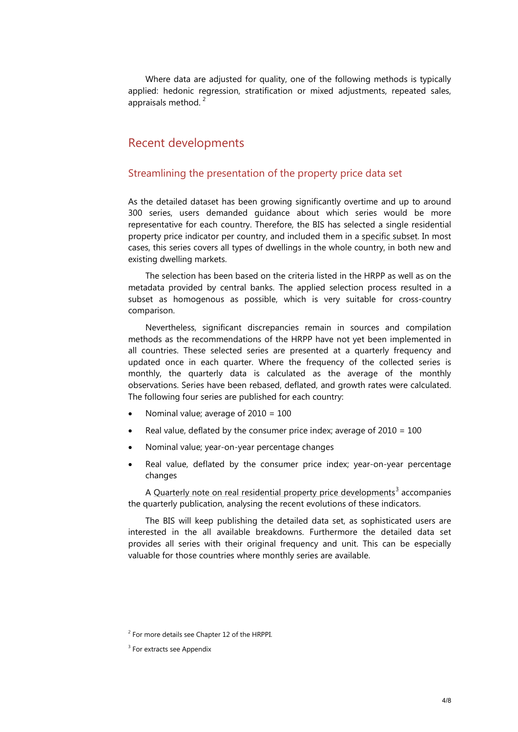Where data are adjusted for quality, one of the following methods is typically applied: hedonic regression, stratification or mixed adjustments, repeated sales, appraisals method.<sup>[2](#page-3-0)</sup>

### Recent developments

#### Streamlining the presentation of the property price data set

As the detailed dataset has been growing significantly overtime and up to around 300 series, users demanded guidance about which series would be more representative for each country. Therefore, the BIS has selected a single residential property price indicator per country, and included them in a [specific subset.](http://www.bis.org/statistics/pp_detailed.htm%23selected) In most cases, this series covers all types of dwellings in the whole country, in both new and existing dwelling markets.

The selection has been based on the criteria listed in the HRPP as well as on the metadata provided by central banks. The applied selection process resulted in a subset as homogenous as possible, which is very suitable for cross-country comparison.

Nevertheless, significant discrepancies remain in sources and compilation methods as the recommendations of the HRPP have not yet been implemented in all countries. These selected series are presented at a quarterly frequency and updated once in each quarter. Where the frequency of the collected series is monthly, the quarterly data is calculated as the average of the monthly observations. Series have been rebased, deflated, and growth rates were calculated. The following four series are published for each country:

- Nominal value; average of 2010 = 100
- Real value, deflated by the consumer price index; average of  $2010 = 100$
- Nominal value; year-on-year percentage changes
- Real value, deflated by the consumer price index; year-on-year percentage changes

A [Quarterly note on real residential property price developments](http://www.bis.org/statistics/pp_residential.pdf)<sup>[3](#page-3-1)</sup> accompanies the quarterly publication, analysing the recent evolutions of these indicators.

The BIS will keep publishing the detailed data set, as sophisticated users are interested in the all available breakdowns. Furthermore the detailed data set provides all series with their original frequency and unit. This can be especially valuable for those countries where monthly series are available.

<span id="page-3-1"></span><span id="page-3-0"></span> $2$  For more details see Chapter 12 of the HRPPI.

<sup>&</sup>lt;sup>3</sup> For extracts see Appendix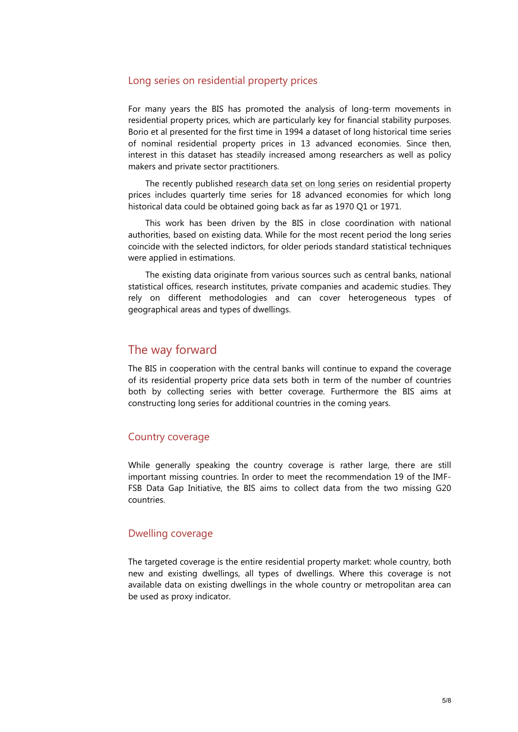#### Long series on residential property prices

For many years the BIS has promoted the analysis of long-term movements in residential property prices, which are particularly key for financial stability purposes. Borio et al presented for the first time in 1994 a dataset of long historical time series of nominal residential property prices in 13 advanced economies. Since then, interest in this dataset has steadily increased among researchers as well as policy makers and private sector practitioners.

The recently published [research data](http://www.bis.org/statistics/pp_long.htm) set on long series on residential property prices includes quarterly time series for 18 advanced economies for which long historical data could be obtained going back as far as 1970 Q1 or 1971.

This work has been driven by the BIS in close coordination with national authorities, based on existing data. While for the most recent period the long series coincide with the selected indictors, for older periods standard statistical techniques were applied in estimations.

The existing data originate from various sources such as central banks, national statistical offices, research institutes, private companies and academic studies. They rely on different methodologies and can cover heterogeneous types of geographical areas and types of dwellings.

### The way forward

The BIS in cooperation with the central banks will continue to expand the coverage of its residential property price data sets both in term of the number of countries both by collecting series with better coverage. Furthermore the BIS aims at constructing long series for additional countries in the coming years.

#### Country coverage

While generally speaking the country coverage is rather large, there are still important missing countries. In order to meet the recommendation 19 of the IMF-FSB Data Gap Initiative, the BIS aims to collect data from the two missing G20 countries.

#### Dwelling coverage

The targeted coverage is the entire residential property market: whole country, both new and existing dwellings, all types of dwellings. Where this coverage is not available data on existing dwellings in the whole country or metropolitan area can be used as proxy indicator.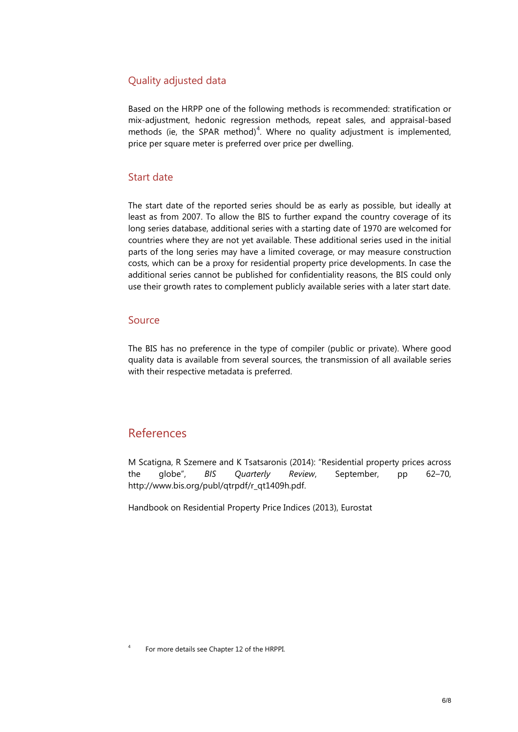### Quality adjusted data

Based on the HRPP one of the following methods is recommended: stratification or mix-adjustment, hedonic regression methods, repeat sales, and appraisal-based methods (ie, the SPAR method)<sup>[4](#page-5-0)</sup>. Where no quality adjustment is implemented, price per square meter is preferred over price per dwelling.

#### Start date

The start date of the reported series should be as early as possible, but ideally at least as from 2007. To allow the BIS to further expand the country coverage of its long series database, additional series with a starting date of 1970 are welcomed for countries where they are not yet available. These additional series used in the initial parts of the long series may have a limited coverage, or may measure construction costs, which can be a proxy for residential property price developments. In case the additional series cannot be published for confidentiality reasons, the BIS could only use their growth rates to complement publicly available series with a later start date.

#### Source

The BIS has no preference in the type of compiler (public or private). Where good quality data is available from several sources, the transmission of all available series with their respective metadata is preferred.

### References

M Scatigna, R Szemere and K Tsatsaronis (2014): "Residential property prices across the globe", *BIS Quarterly Review*, September, pp 62–70, [http://www.bis.org/publ/qtrpdf/r\\_qt1409h.pdf.](http://www.bis.org/publ/qtrpdf/r_qt1409h.pdf)

Handbook on Residential Property Price Indices (2013), Eurostat

<span id="page-5-0"></span><sup>4</sup> For more details see Chapter 12 of the HRPPI.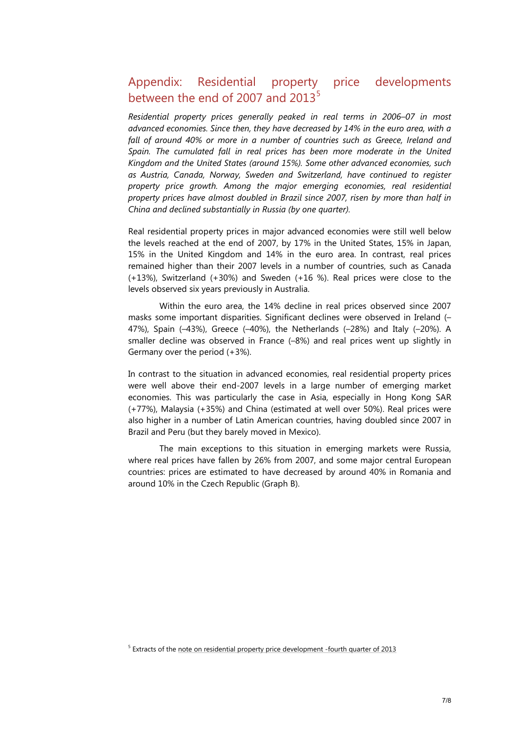## Appendix: Residential property price developments between the end of 2007 and  $2013^5$  $2013^5$

*Residential property prices generally peaked in real terms in 2006–07 in most advanced economies. Since then, they have decreased by 14% in the euro area, with a fall of around 40% or more in a number of countries such as Greece, Ireland and Spain. The cumulated fall in real prices has been more moderate in the United Kingdom and the United States (around 15%). Some other advanced economies, such as Austria, Canada, Norway, Sweden and Switzerland, have continued to register property price growth. Among the major emerging economies, real residential property prices have almost doubled in Brazil since 2007, risen by more than half in China and declined substantially in Russia (by one quarter).*

Real residential property prices in major advanced economies were still well below the levels reached at the end of 2007, by 17% in the United States, 15% in Japan, 15% in the United Kingdom and 14% in the euro area. In contrast, real prices remained higher than their 2007 levels in a number of countries, such as Canada (+13%), Switzerland (+30%) and Sweden (+16 %). Real prices were close to the levels observed six years previously in Australia.

Within the euro area, the 14% decline in real prices observed since 2007 masks some important disparities. Significant declines were observed in Ireland (– 47%), Spain (–43%), Greece (–40%), the Netherlands (–28%) and Italy (–20%). A smaller decline was observed in France (–8%) and real prices went up slightly in Germany over the period (+3%).

In contrast to the situation in advanced economies, real residential property prices were well above their end-2007 levels in a large number of emerging market economies. This was particularly the case in Asia, especially in Hong Kong SAR (+77%), Malaysia (+35%) and China (estimated at well over 50%). Real prices were also higher in a number of Latin American countries, having doubled since 2007 in Brazil and Peru (but they barely moved in Mexico).

The main exceptions to this situation in emerging markets were Russia, where real prices have fallen by 26% from 2007, and some major central European countries: prices are estimated to have decreased by around 40% in Romania and around 10% in the Czech Republic (Graph B).

<span id="page-6-0"></span><sup>&</sup>lt;sup>5</sup> Extracts of th[e note on residential property price development -fourth quarter of 2013](http://www.bis.org/statistics/pp_residential.pdf)